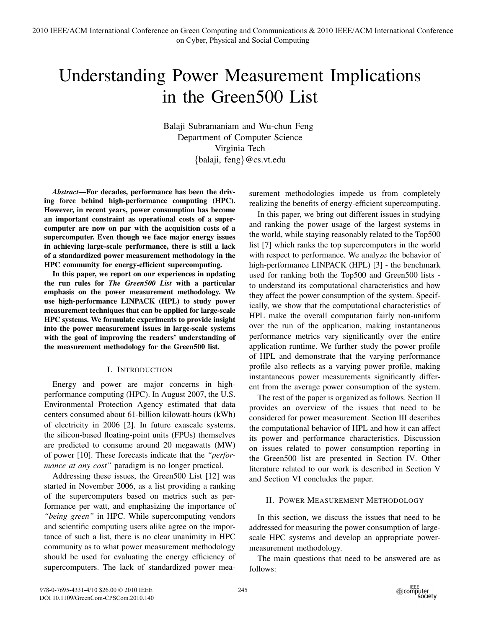# Understanding Power Measurement Implications in the Green500 List

Balaji Subramaniam and Wu-chun Feng Department of Computer Science Virginia Tech {balaji, feng}@cs.vt.edu

*Abstract*—For decades, performance has been the driving force behind high-performance computing (HPC). However, in recent years, power consumption has become an important constraint as operational costs of a supercomputer are now on par with the acquisition costs of a supercomputer. Even though we face major energy issues in achieving large-scale performance, there is still a lack of a standardized power measurement methodology in the HPC community for energy-efficient supercomputing.

In this paper, we report on our experiences in updating the run rules for *The Green500 List* with a particular emphasis on the power measurement methodology. We use high-performance LINPACK (HPL) to study power measurement techniques that can be applied for large-scale HPC systems. We formulate experiments to provide insight into the power measurement issues in large-scale systems with the goal of improving the readers' understanding of the measurement methodology for the Green500 list.

# I. INTRODUCTION

Energy and power are major concerns in highperformance computing (HPC). In August 2007, the U.S. Environmental Protection Agency estimated that data centers consumed about 61-billion kilowatt-hours (kWh) of electricity in 2006 [2]. In future exascale systems, the silicon-based floating-point units (FPUs) themselves are predicted to consume around 20 megawatts (MW) of power [10]. These forecasts indicate that the *"performance at any cost"* paradigm is no longer practical.

Addressing these issues, the Green500 List [12] was started in November 2006, as a list providing a ranking of the supercomputers based on metrics such as performance per watt, and emphasizing the importance of *"being green"* in HPC. While supercomputing vendors and scientific computing users alike agree on the importance of such a list, there is no clear unanimity in HPC community as to what power measurement methodology should be used for evaluating the energy efficiency of supercomputers. The lack of standardized power measurement methodologies impede us from completely realizing the benefits of energy-efficient supercomputing.

In this paper, we bring out different issues in studying and ranking the power usage of the largest systems in the world, while staying reasonably related to the Top500 list [7] which ranks the top supercomputers in the world with respect to performance. We analyze the behavior of high-performance LINPACK (HPL) [3] - the benchmark used for ranking both the Top500 and Green500 lists to understand its computational characteristics and how they affect the power consumption of the system. Specifically, we show that the computational characteristics of HPL make the overall computation fairly non-uniform over the run of the application, making instantaneous performance metrics vary significantly over the entire application runtime. We further study the power profile of HPL and demonstrate that the varying performance profile also reflects as a varying power profile, making instantaneous power measurements significantly different from the average power consumption of the system.

The rest of the paper is organized as follows. Section II provides an overview of the issues that need to be considered for power measurement. Section III describes the computational behavior of HPL and how it can affect its power and performance characteristics. Discussion on issues related to power consumption reporting in the Green500 list are presented in Section IV. Other literature related to our work is described in Section V and Section VI concludes the paper.

# II. POWER MEASUREMENT METHODOLOGY

In this section, we discuss the issues that need to be addressed for measuring the power consumption of largescale HPC systems and develop an appropriate powermeasurement methodology.

The main questions that need to be answered are as follows: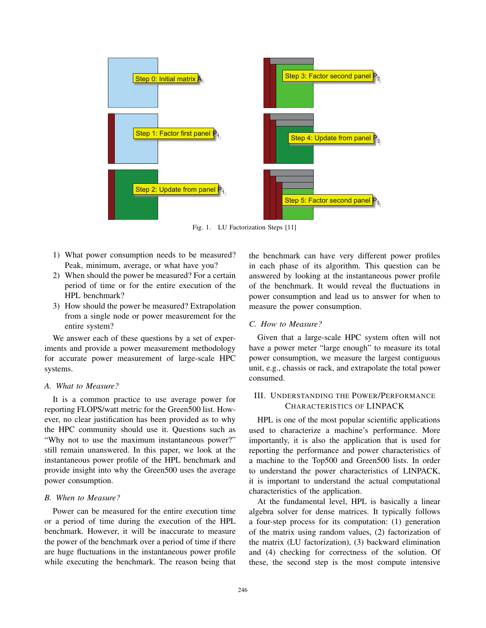

Fig. 1. LU Factorization Steps [11]

- 1) What power consumption needs to be measured? Peak, minimum, average, or what have you?
- 2) When should the power be measured? For a certain period of time or for the entire execution of the HPL benchmark?
- 3) How should the power be measured? Extrapolation from a single node or power measurement for the entire system?

We answer each of these questions by a set of experiments and provide a power measurement methodology for accurate power measurement of large-scale HPC systems.

## *A. What to Measure?*

It is a common practice to use average power for reporting FLOPS/watt metric for the Green500 list. However, no clear justification has been provided as to why the HPC community should use it. Questions such as "Why not to use the maximum instantaneous power?" still remain unanswered. In this paper, we look at the instantaneous power profile of the HPL benchmark and provide insight into why the Green500 uses the average power consumption.

## *B. When to Measure?*

Power can be measured for the entire execution time or a period of time during the execution of the HPL benchmark. However, it will be inaccurate to measure the power of the benchmark over a period of time if there are huge fluctuations in the instantaneous power profile while executing the benchmark. The reason being that the benchmark can have very different power profiles in each phase of its algorithm. This question can be answered by looking at the instantaneous power profile of the benchmark. It would reveal the fluctuations in power consumption and lead us to answer for when to measure the power consumption.

## *C. How to Measure?*

Given that a large-scale HPC system often will not have a power meter "large enough" to measure its total power consumption, we measure the largest contiguous unit, e.g., chassis or rack, and extrapolate the total power consumed.

# III. UNDERSTANDING THE POWER/PERFORMANCE CHARACTERISTICS OF LINPACK

HPL is one of the most popular scientific applications used to characterize a machine's performance. More importantly, it is also the application that is used for reporting the performance and power characteristics of a machine to the Top500 and Green500 lists. In order to understand the power characteristics of LINPACK, it is important to understand the actual computational characteristics of the application.

At the fundamental level, HPL is basically a linear algebra solver for dense matrices. It typically follows a four-step process for its computation: (1) generation of the matrix using random values, (2) factorization of the matrix (LU factorization), (3) backward elimination and (4) checking for correctness of the solution. Of these, the second step is the most compute intensive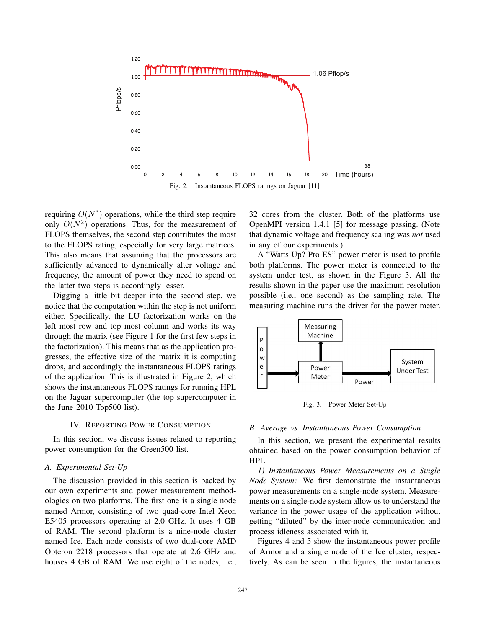

requiring  $O(N^3)$  operations, while the third step require only  $O(N^2)$  operations. Thus, for the measurement of FLOPS themselves, the second step contributes the most to the FLOPS rating, especially for very large matrices. This also means that assuming that the processors are sufficiently advanced to dynamically alter voltage and frequency, the amount of power they need to spend on the latter two steps is accordingly lesser.

Digging a little bit deeper into the second step, we notice that the computation within the step is not uniform either. Specifically, the LU factorization works on the left most row and top most column and works its way through the matrix (see Figure 1 for the first few steps in the factorization). This means that as the application progresses, the effective size of the matrix it is computing drops, and accordingly the instantaneous FLOPS ratings of the application. This is illustrated in Figure 2, which shows the instantaneous FLOPS ratings for running HPL on the Jaguar supercomputer (the top supercomputer in the June 2010 Top500 list).

## IV. REPORTING POWER CONSUMPTION

In this section, we discuss issues related to reporting power consumption for the Green500 list.

## *A. Experimental Set-Up*

The discussion provided in this section is backed by our own experiments and power measurement methodologies on two platforms. The first one is a single node named Armor, consisting of two quad-core Intel Xeon E5405 processors operating at 2.0 GHz. It uses 4 GB of RAM. The second platform is a nine-node cluster named Ice. Each node consists of two dual-core AMD Opteron 2218 processors that operate at 2.6 GHz and houses 4 GB of RAM. We use eight of the nodes, i.e., 32 cores from the cluster. Both of the platforms use OpenMPI version 1.4.1 [5] for message passing. (Note that dynamic voltage and frequency scaling was *not* used in any of our experiments.)

A "Watts Up? Pro ES" power meter is used to profile both platforms. The power meter is connected to the system under test, as shown in the Figure 3. All the results shown in the paper use the maximum resolution possible (i.e., one second) as the sampling rate. The measuring machine runs the driver for the power meter.



Fig. 3. Power Meter Set-Up

#### *B. Average vs. Instantaneous Power Consumption*

In this section, we present the experimental results obtained based on the power consumption behavior of HPL.

*1) Instantaneous Power Measurements on a Single Node System:* We first demonstrate the instantaneous power measurements on a single-node system. Measurements on a single-node system allow us to understand the variance in the power usage of the application without getting "diluted" by the inter-node communication and process idleness associated with it.

Figures 4 and 5 show the instantaneous power profile of Armor and a single node of the Ice cluster, respectively. As can be seen in the figures, the instantaneous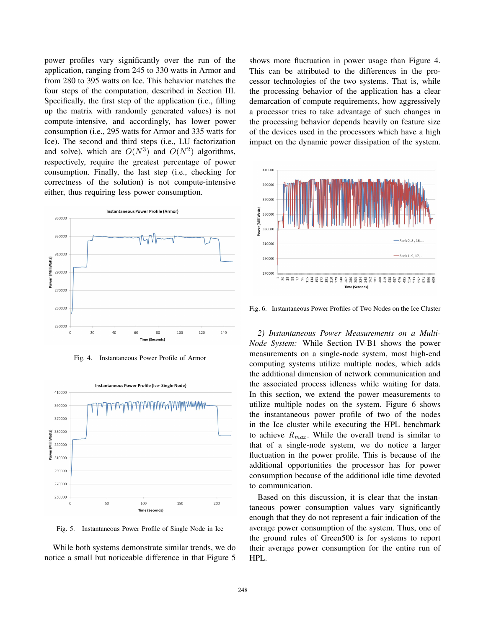power profiles vary significantly over the run of the application, ranging from 245 to 330 watts in Armor and from 280 to 395 watts on Ice. This behavior matches the four steps of the computation, described in Section III. Specifically, the first step of the application (i.e., filling up the matrix with randomly generated values) is not compute-intensive, and accordingly, has lower power consumption (i.e., 295 watts for Armor and 335 watts for Ice). The second and third steps (i.e., LU factorization and solve), which are  $O(N^3)$  and  $O(N^2)$  algorithms, respectively, require the greatest percentage of power consumption. Finally, the last step (i.e., checking for correctness of the solution) is not compute-intensive either, thus requiring less power consumption.



Fig. 4. Instantaneous Power Profile of Armor



Fig. 5. Instantaneous Power Profile of Single Node in Ice

While both systems demonstrate similar trends, we do notice a small but noticeable difference in that Figure 5 shows more fluctuation in power usage than Figure 4. This can be attributed to the differences in the processor technologies of the two systems. That is, while the processing behavior of the application has a clear demarcation of compute requirements, how aggressively a processor tries to take advantage of such changes in the processing behavior depends heavily on feature size of the devices used in the processors which have a high impact on the dynamic power dissipation of the system.



Fig. 6. Instantaneous Power Profiles of Two Nodes on the Ice Cluster

*2) Instantaneous Power Measurements on a Multi-Node System:* While Section IV-B1 shows the power measurements on a single-node system, most high-end computing systems utilize multiple nodes, which adds the additional dimension of network communication and the associated process idleness while waiting for data. In this section, we extend the power measurements to utilize multiple nodes on the system. Figure 6 shows the instantaneous power profile of two of the nodes in the Ice cluster while executing the HPL benchmark to achieve  $R_{max}$ . While the overall trend is similar to that of a single-node system, we do notice a larger fluctuation in the power profile. This is because of the additional opportunities the processor has for power consumption because of the additional idle time devoted to communication.

Based on this discussion, it is clear that the instantaneous power consumption values vary significantly enough that they do not represent a fair indication of the average power consumption of the system. Thus, one of the ground rules of Green500 is for systems to report their average power consumption for the entire run of HPL.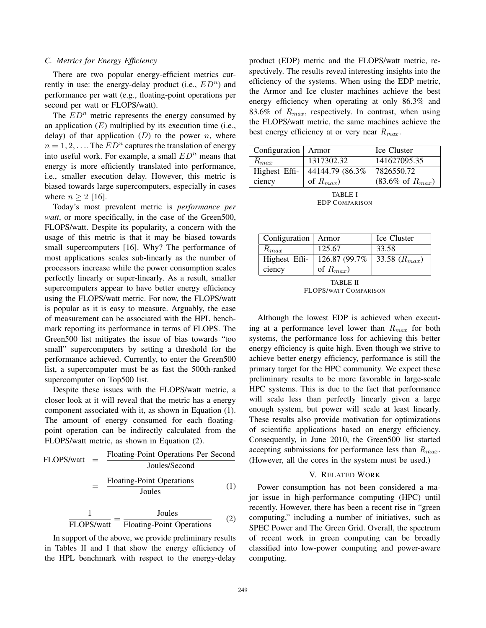## *C. Metrics for Energy Efficiency*

There are two popular energy-efficient metrics currently in use: the energy-delay product (i.e.,  $ED<sup>n</sup>$ ) and performance per watt (e.g., floating-point operations per second per watt or FLOPS/watt).

The  $ED<sup>n</sup>$  metric represents the energy consumed by an application  $(E)$  multiplied by its execution time (i.e., delay) of that application  $(D)$  to the power n, where  $n = 1, 2, \ldots$  The  $ED<sup>n</sup>$  captures the translation of energy into useful work. For example, a small  $ED<sup>n</sup>$  means that energy is more efficiently translated into performance, i.e., smaller execution delay. However, this metric is biased towards large supercomputers, especially in cases where  $n \geq 2$  [16].

Today's most prevalent metric is *performance per watt*, or more specifically, in the case of the Green500, FLOPS/watt. Despite its popularity, a concern with the usage of this metric is that it may be biased towards small supercomputers [16]. Why? The performance of most applications scales sub-linearly as the number of processors increase while the power consumption scales perfectly linearly or super-linearly. As a result, smaller supercomputers appear to have better energy efficiency using the FLOPS/watt metric. For now, the FLOPS/watt is popular as it is easy to measure. Arguably, the ease of measurement can be associated with the HPL benchmark reporting its performance in terms of FLOPS. The Green500 list mitigates the issue of bias towards "too small" supercomputers by setting a threshold for the performance achieved. Currently, to enter the Green500 list, a supercomputer must be as fast the 500th-ranked supercomputer on Top500 list.

Despite these issues with the FLOPS/watt metric, a closer look at it will reveal that the metric has a energy component associated with it, as shown in Equation (1). The amount of energy consumed for each floatingpoint operation can be indirectly calculated from the FLOPS/watt metric, as shown in Equation (2).

FLOPS/watt = 
$$
\frac{\text{Floating-Point Operations Per Second} }{\text{Joules/Second}}
$$

$$
= \frac{\text{Floating-Point Operations} }{\text{Joules}} \qquad (1)
$$

 $\frac{1}{\text{FLOPS/watt}} = \frac{\text{Joules}}{\text{Floating-Point Operations}}$  (2)

In support of the above, we provide preliminary results in Tables II and I that show the energy efficiency of the HPL benchmark with respect to the energy-delay product (EDP) metric and the FLOPS/watt metric, respectively. The results reveal interesting insights into the efficiency of the systems. When using the EDP metric, the Armor and Ice cluster machines achieve the best energy efficiency when operating at only 86.3% and 83.6% of  $R_{max}$ , respectively. In contrast, when using the FLOPS/watt metric, the same machines achieve the best energy efficiency at or very near  $R_{max}$ .

| Configuration   Armor |                  | Ice Cluster                    |  |
|-----------------------|------------------|--------------------------------|--|
| $R_{max}$             | 1317302.32       | 141627095.35                   |  |
| Highest Effi-         | 44144.79 (86.3%) | 7826550.72                     |  |
| ciency                | of $R_{max}$ )   | $(83.6\% \text{ of } R_{max})$ |  |
|                       |                  |                                |  |

TABLE I EDP COMPARISON

| Configuration   Armor |                | Ice Cluster       |
|-----------------------|----------------|-------------------|
| $R_{max}$             | 125.67         | 33.58             |
| Highest Effi-         | 126.87 (99.7%) | 33.58 $(R_{max})$ |
| ciency                | of $R_{max}$ ) |                   |

TABLE II FLOPS/WATT COMPARISON

Although the lowest EDP is achieved when executing at a performance level lower than  $R_{max}$  for both systems, the performance loss for achieving this better energy efficiency is quite high. Even though we strive to achieve better energy efficiency, performance is still the primary target for the HPC community. We expect these preliminary results to be more favorable in large-scale HPC systems. This is due to the fact that performance will scale less than perfectly linearly given a large enough system, but power will scale at least linearly. These results also provide motivation for optimizations of scientific applications based on energy efficiency. Consequently, in June 2010, the Green500 list started accepting submissions for performance less than  $R_{max}$ . (However, all the cores in the system must be used.)

## V. RELATED WORK

Power consumption has not been considered a major issue in high-performance computing (HPC) until recently. However, there has been a recent rise in "green computing," including a number of initiatives, such as SPEC Power and The Green Grid. Overall, the spectrum of recent work in green computing can be broadly classified into low-power computing and power-aware computing.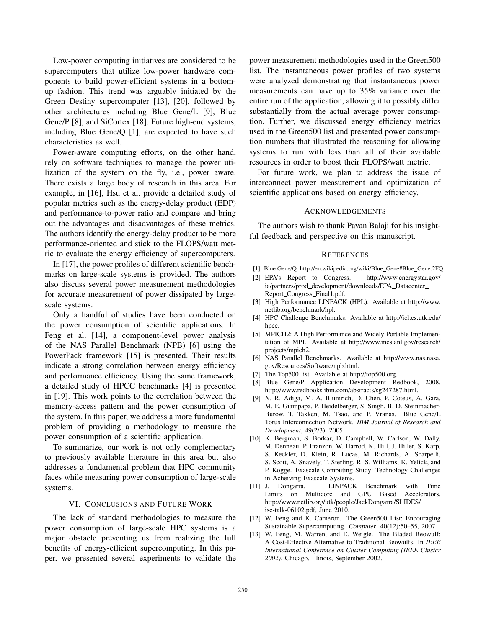Low-power computing initiatives are considered to be supercomputers that utilize low-power hardware components to build power-efficient systems in a bottomup fashion. This trend was arguably initiated by the Green Destiny supercomputer [13], [20], followed by other architectures including Blue Gene/L [9], Blue Gene/P [8], and SiCortex [18]. Future high-end systems, including Blue Gene/Q [1], are expected to have such characteristics as well.

Power-aware computing efforts, on the other hand, rely on software techniques to manage the power utilization of the system on the fly, i.e., power aware. There exists a large body of research in this area. For example, in [16], Hsu et al. provide a detailed study of popular metrics such as the energy-delay product (EDP) and performance-to-power ratio and compare and bring out the advantages and disadvantages of these metrics. The authors identify the energy-delay product to be more performance-oriented and stick to the FLOPS/watt metric to evaluate the energy efficiency of supercomputers.

In [17], the power profiles of different scientific benchmarks on large-scale systems is provided. The authors also discuss several power measurement methodologies for accurate measurement of power dissipated by largescale systems.

Only a handful of studies have been conducted on the power consumption of scientific applications. In Feng et al. [14], a component-level power analysis of the NAS Parallel Benchmark (NPB) [6] using the PowerPack framework [15] is presented. Their results indicate a strong correlation between energy efficiency and performance efficiency. Using the same framework, a detailed study of HPCC benchmarks [4] is presented in [19]. This work points to the correlation between the memory-access pattern and the power consumption of the system. In this paper, we address a more fundamental problem of providing a methodology to measure the power consumption of a scientific application.

To summarize, our work is not only complementary to previously available literature in this area but also addresses a fundamental problem that HPC community faces while measuring power consumption of large-scale systems.

## VI. CONCLUSIONS AND FUTURE WORK

The lack of standard methodologies to measure the power consumption of large-scale HPC systems is a major obstacle preventing us from realizing the full benefits of energy-efficient supercomputing. In this paper, we presented several experiments to validate the

power measurement methodologies used in the Green500 list. The instantaneous power profiles of two systems were analyzed demonstrating that instantaneous power measurements can have up to 35% variance over the entire run of the application, allowing it to possibly differ substantially from the actual average power consumption. Further, we discussed energy efficiency metrics used in the Green500 list and presented power consumption numbers that illustrated the reasoning for allowing systems to run with less than all of their available resources in order to boost their FLOPS/watt metric.

For future work, we plan to address the issue of interconnect power measurement and optimization of scientific applications based on energy efficiency.

## ACKNOWLEDGEMENTS

The authors wish to thank Pavan Balaji for his insightful feedback and perspective on this manuscript.

#### **REFERENCES**

- [1] Blue Gene/Q. http://en.wikipedia.org/wiki/Blue Gene#Blue Gene.2FQ.
- [2] EPA's Report to Congress. http://www.energystar.gov/ ia/partners/prod\_development/downloads/EPA\_Datacenter\_ Report Congress Final1.pdf.
- [3] High Performance LINPACK (HPL). Available at http://www. netlib.org/benchmark/hpl.
- [4] HPC Challenge Benchmarks. Available at http://icl.cs.utk.edu/ hpcc.
- [5] MPICH2: A High Performance and Widely Portable Implementation of MPI. Available at http://www.mcs.anl.gov/research/ projects/mpich2.
- [6] NAS Parallel Benchmarks. Available at http://www.nas.nasa. gov/Resources/Software/npb.html.
- [7] The Top500 list. Available at http://top500.org.
- [8] Blue Gene/P Application Development Redbook, 2008. http://www.redbooks.ibm.com/abstracts/sg247287.html.
- [9] N. R. Adiga, M. A. Blumrich, D. Chen, P. Coteus, A. Gara, M. E. Giampapa, P. Heidelberger, S. Singh, B. D. Steinmacher-Burow, T. Takken, M. Tsao, and P. Vranas. Blue Gene/L Torus Interconnection Network. *IBM Journal of Research and Development*, 49(2/3), 2005.
- [10] K. Bergman, S. Borkar, D. Campbell, W. Carlson, W. Dally, M. Denneau, P. Franzon, W. Harrod, K. Hill, J. Hiller, S. Karp, S. Keckler, D. Klein, R. Lucas, M. Richards, A. Scarpelli, S. Scott, A. Snavely, T. Sterling, R. S. Williams, K. Yelick, and P. Kogge. Exascale Computing Study: Technology Challenges in Acheiving Exascale Systems.
- [11] J. Dongarra. LINPACK Benchmark with Time Limits on Multicore and GPU Based Accelerators. http://www.netlib.org/utk/people/JackDongarra/SLIDES/ isc-talk-06102.pdf, June 2010.
- [12] W. Feng and K. Cameron. The Green500 List: Encouraging Sustainable Supercomputing. *Computer*, 40(12):50–55, 2007.
- [13] W. Feng, M. Warren, and E. Weigle. The Bladed Beowulf: A Cost-Effective Alternative to Traditional Beowulfs. In *IEEE International Conference on Cluster Computing (IEEE Cluster 2002)*, Chicago, Illinois, September 2002.